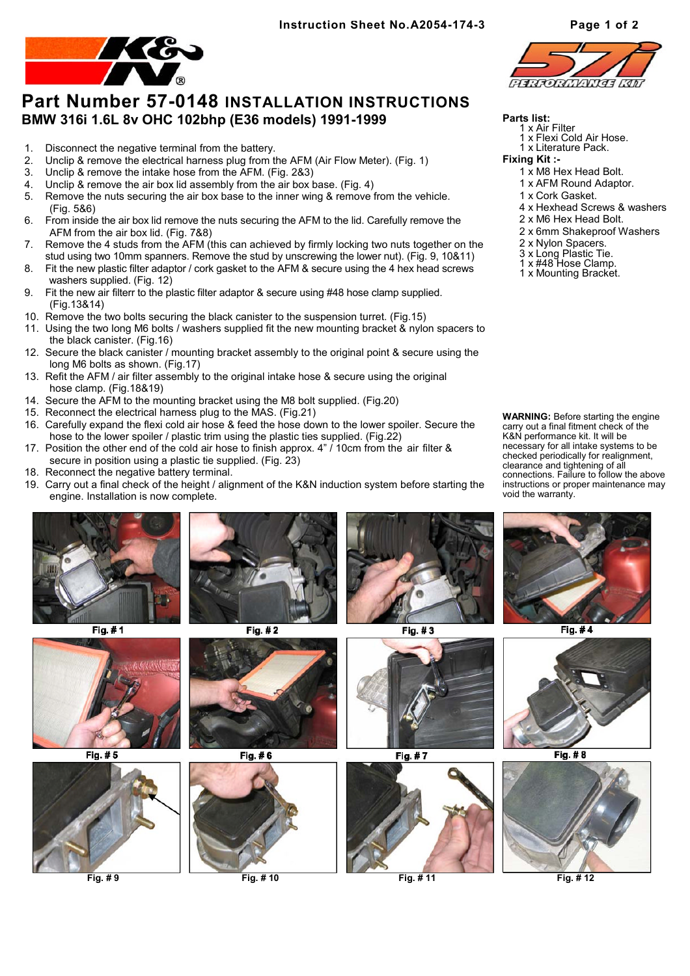

## **Part Number 57-0148 INSTALLATION INSTRUCTIONS BMW 316i 1.6L 8v OHC 102bhp (E36 models) 1991-1999**

- 1. Disconnect the negative terminal from the battery.
- 2. Unclip & remove the electrical harness plug from the AFM (Air Flow Meter). (Fig. 1)
- 3. Unclip & remove the intake hose from the AFM. (Fig. 2&3)
- 4. Unclip & remove the air box lid assembly from the air box base. (Fig. 4)
- 5. Remove the nuts securing the air box base to the inner wing & remove from the vehicle. (Fig. 5&6)
- 6. From inside the air box lid remove the nuts securing the AFM to the lid. Carefully remove the AFM from the air box lid. (Fig. 7&8)
- 7. Remove the 4 studs from the AFM (this can achieved by firmly locking two nuts together on the stud using two 10mm spanners. Remove the stud by unscrewing the lower nut). (Fig. 9, 10&11)
- 8. Fit the new plastic filter adaptor / cork gasket to the AFM & secure using the 4 hex head screws washers supplied. (Fig. 12)
- 9. Fit the new air filterr to the plastic filter adaptor & secure using #48 hose clamp supplied. (Fig.13&14)
- 10. Remove the two bolts securing the black canister to the suspension turret. (Fig.15)
- 11. Using the two long M6 bolts / washers supplied fit the new mounting bracket & nylon spacers to the black canister. (Fig.16)
- 12. Secure the black canister / mounting bracket assembly to the original point & secure using the long M6 bolts as shown. (Fig.17)
- 13. Refit the AFM / air filter assembly to the original intake hose & secure using the original hose clamp. (Fig.18&19)
- 14. Secure the AFM to the mounting bracket using the M8 bolt supplied. (Fig.20)
- 15. Reconnect the electrical harness plug to the MAS. (Fig.21)
- 16. Carefully expand the flexi cold air hose & feed the hose down to the lower spoiler. Secure the hose to the lower spoiler / plastic trim using the plastic ties supplied. (Fig.22)
- 17. Position the other end of the cold air hose to finish approx. 4" / 10cm from the air filter & secure in position using a plastic tie supplied. (Fig. 23)
- 18. Reconnect the negative battery terminal.
- 19. Carry out a final check of the height / alignment of the K&N induction system before starting the engine. Installation is now complete.



Fig. #1



Fig.  $# 5$ 









Fig. #3



Fig. #7



**Fig. # 9 Fig. # 10 Fig. # 11 Fig. # 12**



## **Parts list:**

- 1 x Air Filter x Flexi Cold Air Hose.
	- 1 x Literature Pack.
- **Fixing Kit :-**
	-
	- 1 x M8 Hex Head Bolt. 1 x AFM Round Adaptor.
	- 1 x Cork Gasket.
	-
	- 4 x Hexhead Screws & washers
	- 2 x M6 Hex Head Bolt.
	- 2 x 6mm Shakeproof Washers
	- 2 x Nylon Spacers.
	- 3 x Long Plastic Tie.
	- 1 x #48 Hose Clamp.
	- 1 x Mounting Bracket.

**WARNING:** Before starting the engine carry out a final fitment check of the K&N performance kit. It will be necessary for all intake systems to be checked periodically for realignment, clearance and tightening of all connections. Failure to follow the above instructions or proper maintenance may void the warranty.



Fig.  $#4$